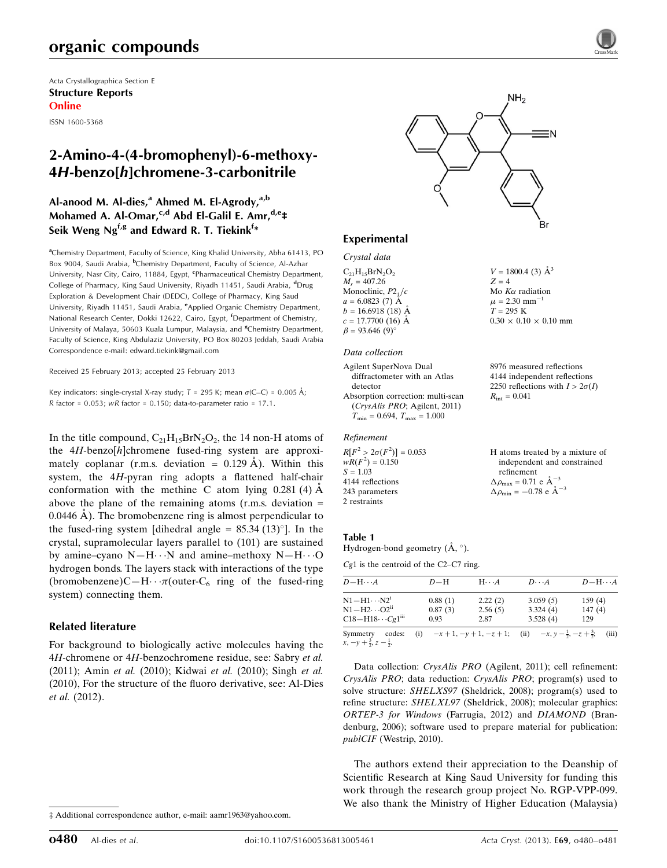# organic compounds

Acta Crystallographica Section E Structure Reports Online

ISSN 1600-5368

# 2-Amino-4-(4-bromophenyl)-6-methoxy-4H-benzo[h]chromene-3-carbonitrile

## Al-anood M. Al-dies,<sup>a</sup> Ahmed M. El-Agrody, $a,b$ Mohamed A. Al-Omar,<sup>c,d</sup> Abd El-Galil E. Amr,<sup>d,e</sup>‡ Seik Weng Ng $^{\rm f,g}$  and Edward R. T. Tiekink $^{\rm f*}$

<sup>a</sup>Chemistry Department, Faculty of Science, King Khalid University, Abha 61413, PO Box 9004, Saudi Arabia, <sup>b</sup>Chemistry Department, Faculty of Science, Al-Azhar University, Nasr City, Cairo, 11884, Egypt, <sup>c</sup>Pharmaceutical Chemistry Department, College of Pharmacy, King Saud University, Riyadh 11451, Saudi Arabia, <sup>d</sup>Drug Exploration & Development Chair (DEDC), College of Pharmacy, King Saud University, Riyadh 11451, Saudi Arabia, <sup>e</sup>Applied Organic Chemistry Department, National Research Center, Dokki 12622, Cairo, Egypt, <sup>f</sup>Department of Chemistry, University of Malaya, 50603 Kuala Lumpur, Malaysia, and <sup>8</sup>Chemistry Department, Faculty of Science, King Abdulaziz University, PO Box 80203 Jeddah, Saudi Arabia Correspondence e-mail: [edward.tiekink@gmail.com](https://scripts.iucr.org/cgi-bin/cr.cgi?rm=pdfbb&cnor=hb7048&bbid=BB10)

Received 25 February 2013; accepted 25 February 2013

Key indicators: single-crystal X-ray study;  $T = 295$  K; mean  $\sigma$ (C–C) = 0.005 Å; R factor =  $0.053$ ; wR factor =  $0.150$ ; data-to-parameter ratio = 17.1.

In the title compound,  $C_{21}H_{15}BrN_2O_2$ , the 14 non-H atoms of the  $4H$ -benzo[h]chromene fused-ring system are approximately coplanar (r.m.s. deviation =  $0.129 \text{ Å}$ ). Within this system, the 4H-pyran ring adopts a flattened half-chair conformation with the methine C atom lying  $0.281$  (4)  $\AA$ above the plane of the remaining atoms  $(r.m.s.$  deviation  $=$ 0.0446  $\AA$ ). The bromobenzene ring is almost perpendicular to the fused-ring system [dihedral angle =  $85.34 \,(13)^{\circ}$ ]. In the crystal, supramolecular layers parallel to (101) are sustained by amine–cyano  $N-H\cdots N$  and amine–methoxy  $N-H\cdots O$ hydrogen bonds. The layers stack with interactions of the type (bromobenzene)C—H $\cdots$  $\pi$ (outer-C<sub>6</sub> ring of the fused-ring system) connecting them.

#### Related literature

For background to biologically active molecules having the 4H-chromene or 4H-benzochromene residue, see: Sabry et al. (2011); Amin et al. (2010); Kidwai et al. (2010); Singh et al. (2010), For the structure of the fluoro derivative, see: Al-Dies et al. (2012).

 $V = 1800.4$  (3)  $\AA^3$ 

Mo  $K\alpha$  radiation  $\mu$  = 2.30 mm<sup>-1</sup>  $T = 295 K$ 

 $R_{\rm int} = 0.041$ 

refinement  $\Delta \rho_{\text{max}} = 0.71 \text{ e } \text{\AA}_{\text{\tiny s}}^{-3}$  $\Delta \rho_{\text{min}} = -0.78$  e  $\rm{\AA}^{-3}$ 

 $0.30 \times 0.10 \times 0.10$  mm

8976 measured reflections 4144 independent reflections 2250 reflections with  $I > 2\sigma(I)$ 

H atoms treated by a mixture of independent and constrained

 $Z = 4$ 

## Experimental

Crystal data  $C_{21}H_{15}BrN_2O_2$  $M = 407.26$ Monoclinic,  $P2<sub>1</sub>/c$  $a = 6.0823(7)$  Å  $b = 16.6918(18)$  Å  $c = 17.7700$  (16) Å  $\beta = 93.646 (9)$ 

#### Data collection

Agilent SuperNova Dual diffractometer with an Atlas detector Absorption correction: multi-scan (CrysAlis PRO; Agilent, 2011)  $T_{\text{min}} = 0.694, T_{\text{max}} = 1.000$ 

#### Refinement

 $R[F^2 > 2\sigma(F^2)] = 0.053$  $wR(F^2) = 0.150$  $S = 1.03$ 4144 reflections 243 parameters 2 restraints

#### Table 1

Hydrogen-bond geometry  $(\AA, \degree)$ .

Cg1 is the centroid of the C2–C7 ring.

| $D - H \cdots A$                                                                        | $D-H$                      | $H\cdots A$                | $D\cdots A$                                                         | $D - H \cdots A$        |
|-----------------------------------------------------------------------------------------|----------------------------|----------------------------|---------------------------------------------------------------------|-------------------------|
| $N1 - H1 \cdots N2^i$<br>$N1-H2\cdots O2^{ii}$<br>$C18 - H18 \cdots Cg1$ <sup>iii</sup> | 0.88(1)<br>0.87(3)<br>0.93 | 2.22(2)<br>2.56(5)<br>2.87 | 3.059(5)<br>3.324(4)<br>3.528(4)                                    | 159(4)<br>147(4)<br>129 |
| codes:<br>Symmetry<br>$x, -y + \frac{3}{2}, z - \frac{1}{2}$                            |                            |                            | (i) $-x+1, -y+1, -z+1$ ; (ii) $-x, y-\frac{1}{2}, -z+\frac{3}{2}$ ; | (iii)                   |

Data collection: CrysAlis PRO (Agilent, 2011); cell refinement: CrysAlis PRO; data reduction: CrysAlis PRO; program(s) used to solve structure: SHELXS97 (Sheldrick, 2008); program(s) used to refine structure: SHELXL97 (Sheldrick, 2008); molecular graphics: ORTEP-3 for Windows (Farrugia, 2012) and DIAMOND (Brandenburg, 2006); software used to prepare material for publication: publCIF (Westrip, 2010).

The authors extend their appreciation to the Deanship of Scientific Research at King Saud University for funding this work through the research group project No. RGP-VPP-099. We also thank the Ministry of Higher Education (Malaysia)

 $NH<sub>2</sub>$ 

<sup>‡</sup> Additional correspondence author, e-mail: aamr1963@yahoo.com.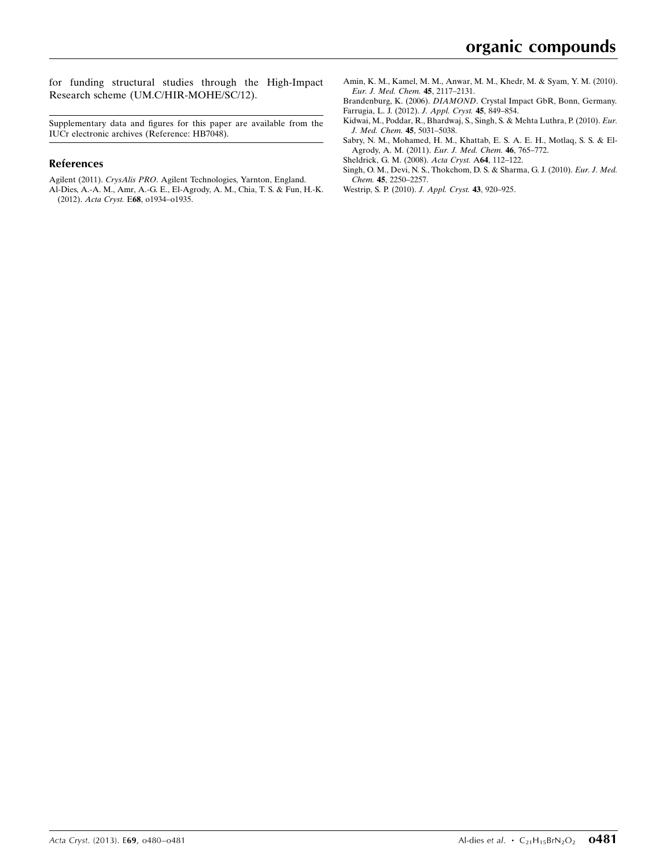for funding structural studies through the High-Impact Research scheme (UM.C/HIR-MOHE/SC/12).

Supplementary data and figures for this paper are available from the IUCr electronic archives (Reference: HB7048).

#### References

Agilent (2011). CrysAlis PRO[. Agilent Technologies, Yarnton, England.](https://scripts.iucr.org/cgi-bin/cr.cgi?rm=pdfbb&cnor=hb7048&bbid=BB1) [Al-Dies, A.-A. M., Amr, A.-G. E., El-Agrody, A. M., Chia, T. S. & Fun, H.-K.](https://scripts.iucr.org/cgi-bin/cr.cgi?rm=pdfbb&cnor=hb7048&bbid=BB2) (2012). Acta Cryst. E68[, o1934–o1935.](https://scripts.iucr.org/cgi-bin/cr.cgi?rm=pdfbb&cnor=hb7048&bbid=BB2)

- [Amin, K. M., Kamel, M. M., Anwar, M. M., Khedr, M. & Syam, Y. M. \(2010\).](https://scripts.iucr.org/cgi-bin/cr.cgi?rm=pdfbb&cnor=hb7048&bbid=BB3) [Eur. J. Med. Chem.](https://scripts.iucr.org/cgi-bin/cr.cgi?rm=pdfbb&cnor=hb7048&bbid=BB3) 45, 2117–2131.
- Brandenburg, K. (2006). DIAMOND[. Crystal Impact GbR, Bonn, Germany.](https://scripts.iucr.org/cgi-bin/cr.cgi?rm=pdfbb&cnor=hb7048&bbid=BB4) [Farrugia, L. J. \(2012\).](https://scripts.iucr.org/cgi-bin/cr.cgi?rm=pdfbb&cnor=hb7048&bbid=BB5) J. Appl. Cryst. 45, 849–854.
- [Kidwai, M., Poddar, R., Bhardwaj, S., Singh, S. & Mehta Luthra, P. \(2010\).](https://scripts.iucr.org/cgi-bin/cr.cgi?rm=pdfbb&cnor=hb7048&bbid=BB6) Eur. [J. Med. Chem.](https://scripts.iucr.org/cgi-bin/cr.cgi?rm=pdfbb&cnor=hb7048&bbid=BB6) 45, 5031–5038.
- [Sabry, N. M., Mohamed, H. M., Khattab, E. S. A. E. H., Motlaq, S. S. & El-](https://scripts.iucr.org/cgi-bin/cr.cgi?rm=pdfbb&cnor=hb7048&bbid=BB7)[Agrody, A. M. \(2011\).](https://scripts.iucr.org/cgi-bin/cr.cgi?rm=pdfbb&cnor=hb7048&bbid=BB7) Eur. J. Med. Chem. 46, 765–772.
- [Sheldrick, G. M. \(2008\).](https://scripts.iucr.org/cgi-bin/cr.cgi?rm=pdfbb&cnor=hb7048&bbid=BB8) Acta Cryst. A64, 112–122.
- [Singh, O. M., Devi, N. S., Thokchom, D. S. & Sharma, G. J. \(2010\).](https://scripts.iucr.org/cgi-bin/cr.cgi?rm=pdfbb&cnor=hb7048&bbid=BB9) Eur. J. Med. Chem. 45[, 2250–2257.](https://scripts.iucr.org/cgi-bin/cr.cgi?rm=pdfbb&cnor=hb7048&bbid=BB9)
- [Westrip, S. P. \(2010\).](https://scripts.iucr.org/cgi-bin/cr.cgi?rm=pdfbb&cnor=hb7048&bbid=BB10) J. Appl. Cryst. 43, 920–925.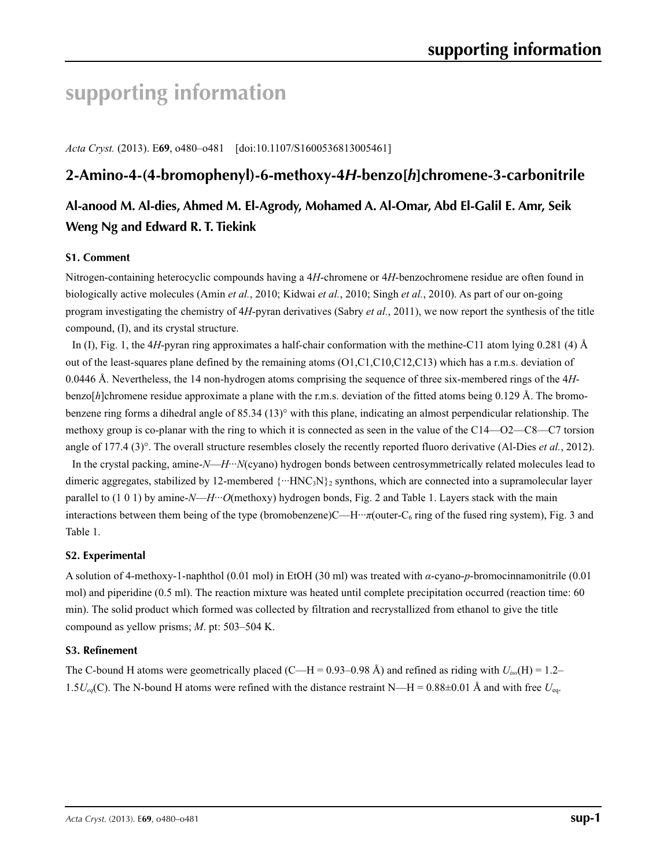# **supporting information**

*Acta Cryst.* (2013). E**69**, o480–o481 [doi:10.1107/S1600536813005461]

# **2-Amino-4-(4-bromophenyl)-6-methoxy-4***H***-benzo[***h***]chromene-3-carbonitrile**

# **Al-anood M. Al-dies, Ahmed M. El-Agrody, Mohamed A. Al-Omar, Abd El-Galil E. Amr, Seik Weng Ng and Edward R. T. Tiekink**

### **S1. Comment**

Nitrogen-containing heterocyclic compounds having a 4*H*-chromene or 4*H*-benzochromene residue are often found in biologically active molecules (Amin *et al.*, 2010; Kidwai *et al.*, 2010; Singh *et al.*, 2010). As part of our on-going program investigating the chemistry of 4*H*-pyran derivatives (Sabry *et al.*, 2011), we now report the synthesis of the title compound, (I), and its crystal structure.

In (I), Fig. 1, the 4*H*-pyran ring approximates a half-chair conformation with the methine-C11 atom lying 0.281 (4) Å out of the least-squares plane defined by the remaining atoms (O1,C1,C10,C12,C13) which has a r.m.s. deviation of 0.0446 Å. Nevertheless, the 14 non-hydrogen atoms comprising the sequence of three six-membered rings of the 4*H*benzo[*h*]chromene residue approximate a plane with the r.m.s. deviation of the fitted atoms being 0.129 Å. The bromobenzene ring forms a dihedral angle of 85.34 (13)° with this plane, indicating an almost perpendicular relationship. The methoxy group is co-planar with the ring to which it is connected as seen in the value of the C14—O2—C8—C7 torsion angle of 177.4 (3)°. The overall structure resembles closely the recently reported fluoro derivative (Al-Dies *et al.*, 2012).

In the crystal packing, amine- $N$ — $H \cdot \cdot N$ (cyano) hydrogen bonds between centrosymmetrically related molecules lead to dimeric aggregates, stabilized by 12-membered  $\{\cdot\cdot\cdot HNC_3N\}$  synthons, which are connected into a supramolecular layer parallel to (1 0 1) by amine-*N*—*H*···*O*(methoxy) hydrogen bonds, Fig. 2 and Table 1. Layers stack with the main interactions between them being of the type (bromobenzene)C—H···*π*(outer-C6 ring of the fused ring system), Fig. 3 and Table 1.

#### **S2. Experimental**

A solution of 4-methoxy-1-naphthol (0.01 mol) in EtOH (30 ml) was treated with *α*-cyano-*p*-bromocinnamonitrile (0.01 mol) and piperidine (0.5 ml). The reaction mixture was heated until complete precipitation occurred (reaction time: 60 min). The solid product which formed was collected by filtration and recrystallized from ethanol to give the title compound as yellow prisms; *M*. pt: 503–504 K.

#### **S3. Refinement**

The C-bound H atoms were geometrically placed (C—H =  $0.93-0.98$  Å) and refined as riding with  $U_{iso}(H) = 1.2-$ 1.5*Ueq*(C). The N-bound H atoms were refined with the distance restraint N—H = 0.88±0.01 Å and with free *U*eq.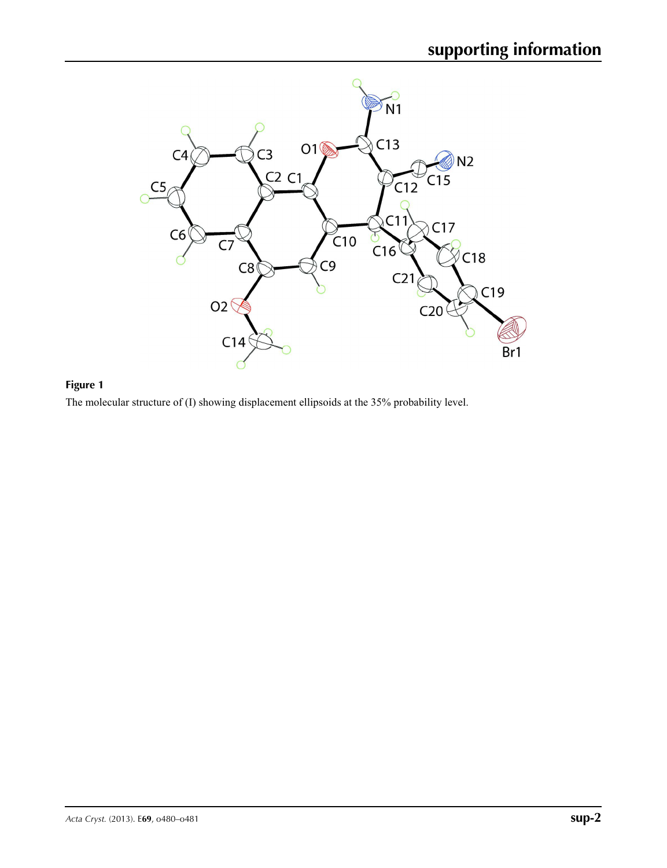

## **Figure 1**

The molecular structure of (I) showing displacement ellipsoids at the 35% probability level.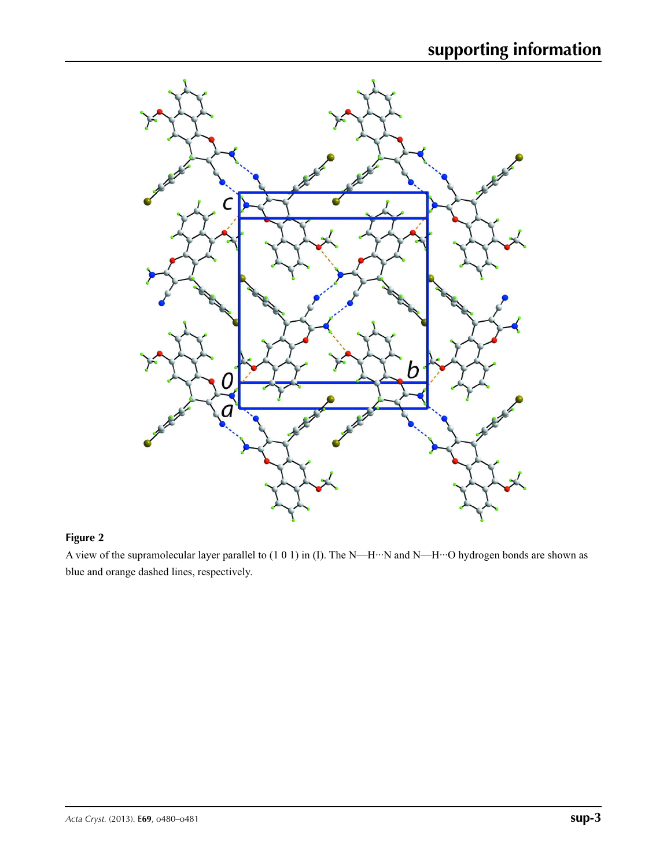

## **Figure 2**

A view of the supramolecular layer parallel to (1 0 1) in (I). The N—H···N and N—H···O hydrogen bonds are shown as blue and orange dashed lines, respectively.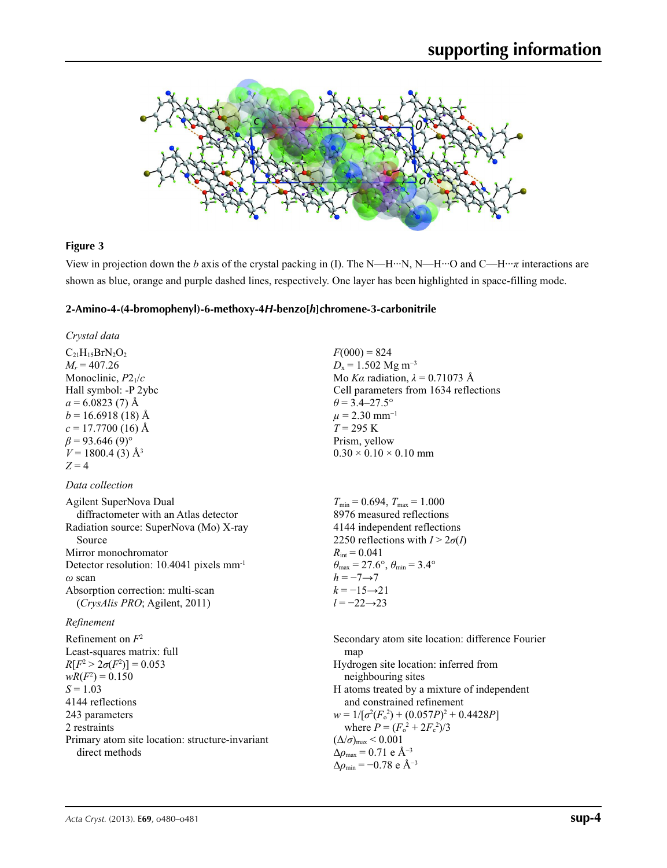

### **Figure 3**

View in projection down the *b* axis of the crystal packing in (I). The N—H···N, N—H···O and C—H···*π* interactions are shown as blue, orange and purple dashed lines, respectively. One layer has been highlighted in space-filling mode.

## **2-Amino-4-(4-bromophenyl)-6-methoxy-4***H***-benzo[***h***]chromene-3-carbonitrile**

*Crystal data*  $C_{21}H_{15}BrN_2O_2$  $M_r = 407.26$ Monoclinic, *P*21/*c* Hall symbol: -P 2ybc  $a = 6.0823(7)$  Å  $b = 16.6918(18)$  Å  $c = 17.7700$  (16) Å  $\beta$  = 93.646 (9)<sup>°</sup>  $V = 1800.4$  (3)  $\AA$ <sup>3</sup>  $Z = 4$ 

#### *Data collection*

| Agilent SuperNova Dual                                 | $T_{\min} = 0$ .     |
|--------------------------------------------------------|----------------------|
| diffractometer with an Atlas detector                  | 8976 m               |
| Radiation source: SuperNova (Mo) X-ray                 | $4144$ in            |
| Source                                                 | 2250 re              |
| Mirror monochromator                                   | $R_{\rm int} = 0.0$  |
| Detector resolution: $10.4041$ pixels mm <sup>-1</sup> | $\theta_{\rm max}=2$ |
| $\omega$ scan                                          | $h = -7-$            |
| Absorption correction: multi-scan                      | $k = -15$            |
| (CrysAlis PRO; Agilent, 2011)                          | $l = -22$            |
|                                                        |                      |

#### *Refinement*

Refinement on *F*<sup>2</sup> Least-squares matrix: full  $R[F^2 > 2\sigma(F^2)] = 0.053$  $wR(F^2) = 0.150$ *S* = 1.03 4144 reflections 243 parameters 2 restraints Primary atom site location: structure-invariant direct methods

 $F(000) = 824$  $D_x = 1.502$  Mg m<sup>-3</sup> Mo *Kα* radiation, *λ* = 0.71073 Å Cell parameters from 1634 reflections  $\theta$  = 3.4–27.5°  $\mu$  = 2.30 mm<sup>-1</sup>  $T = 295$  K Prism, yellow  $0.30 \times 0.10 \times 0.10$  mm

 $.694, T_{\text{max}} = 1.000$ easured reflections dependent reflections  $2\sigma(I)$  reflections with  $I > 2\sigma(I)$ *R*  $27.6^\circ$ ,  $\theta_{\min} = 3.4^\circ$  $\rightarrow$ 7  $\rightarrow 21$  $\rightarrow$ 23

Secondary atom site location: difference Fourier map Hydrogen site location: inferred from neighbouring sites H atoms treated by a mixture of independent and constrained refinement  $w = 1/[\sigma^2 (F_o^2) + (0.057P)^2 + 0.4428P]$ where  $P = (F_o^2 + 2F_c^2)/3$  $(\Delta/\sigma)_{\text{max}}$  < 0.001 Δ*ρ*max = 0.71 e Å−3 Δ*ρ*min = −0.78 e Å−3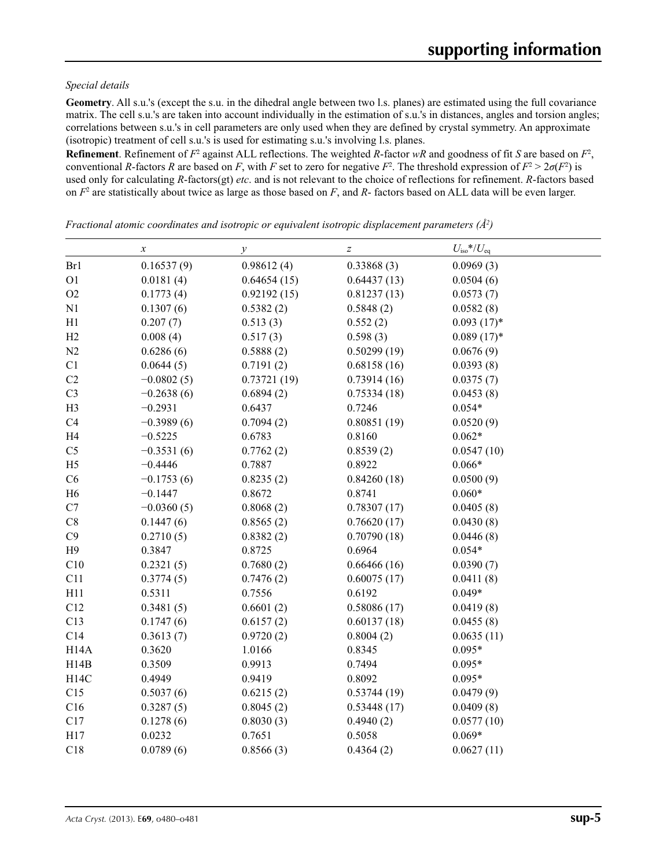#### *Special details*

**Geometry**. All s.u.'s (except the s.u. in the dihedral angle between two l.s. planes) are estimated using the full covariance matrix. The cell s.u.'s are taken into account individually in the estimation of s.u.'s in distances, angles and torsion angles; correlations between s.u.'s in cell parameters are only used when they are defined by crystal symmetry. An approximate (isotropic) treatment of cell s.u.'s is used for estimating s.u.'s involving l.s. planes.

**Refinement**. Refinement of  $F^2$  against ALL reflections. The weighted R-factor wR and goodness of fit *S* are based on  $F^2$ , conventional *R*-factors *R* are based on *F*, with *F* set to zero for negative *F*<sup>2</sup>. The threshold expression of  $F^2 > 2\sigma(F^2)$  is used only for calculating *R*-factors(gt) *etc*. and is not relevant to the choice of reflections for refinement. *R*-factors based on *F*<sup>2</sup> are statistically about twice as large as those based on *F*, and *R*- factors based on ALL data will be even larger.

|                   | $\boldsymbol{\chi}$ | $\mathcal{Y}$ | $\boldsymbol{Z}$ | $U_{\rm iso}$ */ $U_{\rm eq}$ |  |
|-------------------|---------------------|---------------|------------------|-------------------------------|--|
| Br1               | 0.16537(9)          | 0.98612(4)    | 0.33868(3)       | 0.0969(3)                     |  |
| O <sub>1</sub>    | 0.0181(4)           | 0.64654(15)   | 0.64437(13)      | 0.0504(6)                     |  |
| O2                | 0.1773(4)           | 0.92192(15)   | 0.81237(13)      | 0.0573(7)                     |  |
| N1                | 0.1307(6)           | 0.5382(2)     | 0.5848(2)        | 0.0582(8)                     |  |
| H1                | 0.207(7)            | 0.513(3)      | 0.552(2)         | $0.093(17)^*$                 |  |
| H2                | 0.008(4)            | 0.517(3)      | 0.598(3)         | $0.089(17)$ *                 |  |
| N2                | 0.6286(6)           | 0.5888(2)     | 0.50299(19)      | 0.0676(9)                     |  |
| C1                | 0.0644(5)           | 0.7191(2)     | 0.68158(16)      | 0.0393(8)                     |  |
| C2                | $-0.0802(5)$        | 0.73721(19)   | 0.73914(16)      | 0.0375(7)                     |  |
| C <sub>3</sub>    | $-0.2638(6)$        | 0.6894(2)     | 0.75334(18)      | 0.0453(8)                     |  |
| H <sub>3</sub>    | $-0.2931$           | 0.6437        | 0.7246           | $0.054*$                      |  |
| C4                | $-0.3989(6)$        | 0.7094(2)     | 0.80851(19)      | 0.0520(9)                     |  |
| H <sub>4</sub>    | $-0.5225$           | 0.6783        | 0.8160           | $0.062*$                      |  |
| C <sub>5</sub>    | $-0.3531(6)$        | 0.7762(2)     | 0.8539(2)        | 0.0547(10)                    |  |
| H <sub>5</sub>    | $-0.4446$           | 0.7887        | 0.8922           | $0.066*$                      |  |
| C6                | $-0.1753(6)$        | 0.8235(2)     | 0.84260(18)      | 0.0500(9)                     |  |
| H <sub>6</sub>    | $-0.1447$           | 0.8672        | 0.8741           | $0.060*$                      |  |
| C7                | $-0.0360(5)$        | 0.8068(2)     | 0.78307(17)      | 0.0405(8)                     |  |
| C8                | 0.1447(6)           | 0.8565(2)     | 0.76620(17)      | 0.0430(8)                     |  |
| C9                | 0.2710(5)           | 0.8382(2)     | 0.70790(18)      | 0.0446(8)                     |  |
| H9                | 0.3847              | 0.8725        | 0.6964           | $0.054*$                      |  |
| C10               | 0.2321(5)           | 0.7680(2)     | 0.66466(16)      | 0.0390(7)                     |  |
| C11               | 0.3774(5)           | 0.7476(2)     | 0.60075(17)      | 0.0411(8)                     |  |
| H11               | 0.5311              | 0.7556        | 0.6192           | $0.049*$                      |  |
| C12               | 0.3481(5)           | 0.6601(2)     | 0.58086(17)      | 0.0419(8)                     |  |
| C13               | 0.1747(6)           | 0.6157(2)     | 0.60137(18)      | 0.0455(8)                     |  |
| C14               | 0.3613(7)           | 0.9720(2)     | 0.8004(2)        | 0.0635(11)                    |  |
| H <sub>14</sub> A | 0.3620              | 1.0166        | 0.8345           | $0.095*$                      |  |
| H14B              | 0.3509              | 0.9913        | 0.7494           | $0.095*$                      |  |
| H14C              | 0.4949              | 0.9419        | 0.8092           | $0.095*$                      |  |
| C15               | 0.5037(6)           | 0.6215(2)     | 0.53744(19)      | 0.0479(9)                     |  |
| C16               | 0.3287(5)           | 0.8045(2)     | 0.53448(17)      | 0.0409(8)                     |  |
| C17               | 0.1278(6)           | 0.8030(3)     | 0.4940(2)        | 0.0577(10)                    |  |
| H17               | 0.0232              | 0.7651        | 0.5058           | $0.069*$                      |  |
| C18               | 0.0789(6)           | 0.8566(3)     | 0.4364(2)        | 0.0627(11)                    |  |

*Fractional atomic coordinates and isotropic or equivalent isotropic displacement parameters (Å2 )*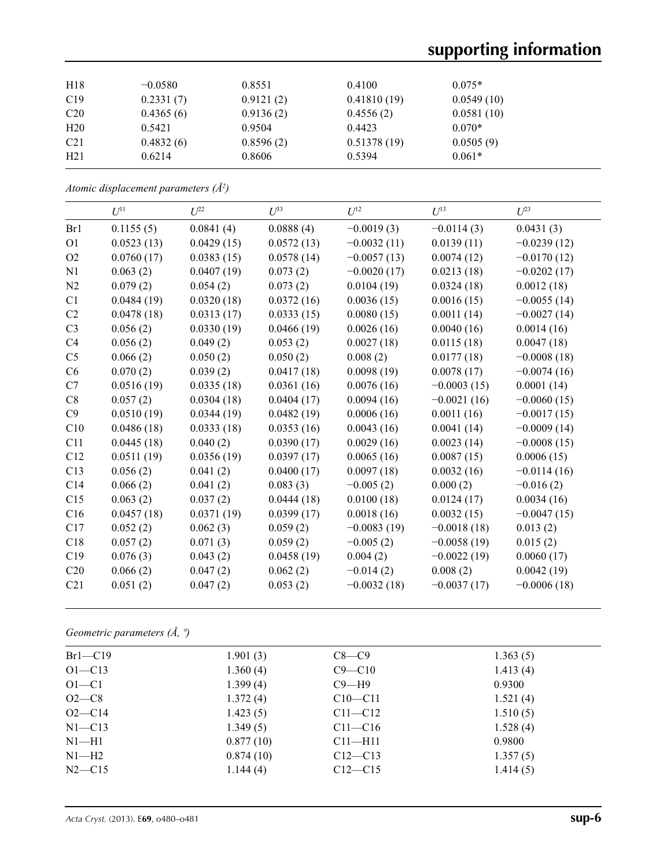| $-0.0580$ | 0.8551    | 0.4100 | $0.075*$                                |
|-----------|-----------|--------|-----------------------------------------|
| 0.2331(7) | 0.9121(2) |        | 0.0549(10)                              |
| 0.4365(6) | 0.9136(2) |        | 0.0581(10)                              |
| 0.5421    | 0.9504    | 0.4423 | $0.070*$                                |
| 0.4832(6) | 0.8596(2) |        | 0.0505(9)                               |
| 0.6214    | 0.8606    | 0.5394 | $0.061*$                                |
|           |           |        | 0.41810(19)<br>0.4556(2)<br>0.51378(19) |

*Atomic displacement parameters (Å2 )*

|                | $U^{11}$   | $U^{22}$   | $U^{33}$   | $U^{12}$      | $U^{13}$      | $U^{23}$      |
|----------------|------------|------------|------------|---------------|---------------|---------------|
| Br1            | 0.1155(5)  | 0.0841(4)  | 0.0888(4)  | $-0.0019(3)$  | $-0.0114(3)$  | 0.0431(3)     |
| O <sub>1</sub> | 0.0523(13) | 0.0429(15) | 0.0572(13) | $-0.0032(11)$ | 0.0139(11)    | $-0.0239(12)$ |
| O2             | 0.0760(17) | 0.0383(15) | 0.0578(14) | $-0.0057(13)$ | 0.0074(12)    | $-0.0170(12)$ |
| N1             | 0.063(2)   | 0.0407(19) | 0.073(2)   | $-0.0020(17)$ | 0.0213(18)    | $-0.0202(17)$ |
| N2             | 0.079(2)   | 0.054(2)   | 0.073(2)   | 0.0104(19)    | 0.0324(18)    | 0.0012(18)    |
| C1             | 0.0484(19) | 0.0320(18) | 0.0372(16) | 0.0036(15)    | 0.0016(15)    | $-0.0055(14)$ |
| C <sub>2</sub> | 0.0478(18) | 0.0313(17) | 0.0333(15) | 0.0080(15)    | 0.0011(14)    | $-0.0027(14)$ |
| C <sub>3</sub> | 0.056(2)   | 0.0330(19) | 0.0466(19) | 0.0026(16)    | 0.0040(16)    | 0.0014(16)    |
| C4             | 0.056(2)   | 0.049(2)   | 0.053(2)   | 0.0027(18)    | 0.0115(18)    | 0.0047(18)    |
| C <sub>5</sub> | 0.066(2)   | 0.050(2)   | 0.050(2)   | 0.008(2)      | 0.0177(18)    | $-0.0008(18)$ |
| C6             | 0.070(2)   | 0.039(2)   | 0.0417(18) | 0.0098(19)    | 0.0078(17)    | $-0.0074(16)$ |
| C7             | 0.0516(19) | 0.0335(18) | 0.0361(16) | 0.0076(16)    | $-0.0003(15)$ | 0.0001(14)    |
| C8             | 0.057(2)   | 0.0304(18) | 0.0404(17) | 0.0094(16)    | $-0.0021(16)$ | $-0.0060(15)$ |
| C9             | 0.0510(19) | 0.0344(19) | 0.0482(19) | 0.0006(16)    | 0.0011(16)    | $-0.0017(15)$ |
| C10            | 0.0486(18) | 0.0333(18) | 0.0353(16) | 0.0043(16)    | 0.0041(14)    | $-0.0009(14)$ |
| C11            | 0.0445(18) | 0.040(2)   | 0.0390(17) | 0.0029(16)    | 0.0023(14)    | $-0.0008(15)$ |
| C12            | 0.0511(19) | 0.0356(19) | 0.0397(17) | 0.0065(16)    | 0.0087(15)    | 0.0006(15)    |
| C13            | 0.056(2)   | 0.041(2)   | 0.0400(17) | 0.0097(18)    | 0.0032(16)    | $-0.0114(16)$ |
| C14            | 0.066(2)   | 0.041(2)   | 0.083(3)   | $-0.005(2)$   | 0.000(2)      | $-0.016(2)$   |
| C15            | 0.063(2)   | 0.037(2)   | 0.0444(18) | 0.0100(18)    | 0.0124(17)    | 0.0034(16)    |
| C16            | 0.0457(18) | 0.0371(19) | 0.0399(17) | 0.0018(16)    | 0.0032(15)    | $-0.0047(15)$ |
| C17            | 0.052(2)   | 0.062(3)   | 0.059(2)   | $-0.0083(19)$ | $-0.0018(18)$ | 0.013(2)      |
| C18            | 0.057(2)   | 0.071(3)   | 0.059(2)   | $-0.005(2)$   | $-0.0058(19)$ | 0.015(2)      |
| C19            | 0.076(3)   | 0.043(2)   | 0.0458(19) | 0.004(2)      | $-0.0022(19)$ | 0.0060(17)    |
| C20            | 0.066(2)   | 0.047(2)   | 0.062(2)   | $-0.014(2)$   | 0.008(2)      | 0.0042(19)    |
| C21            | 0.051(2)   | 0.047(2)   | 0.053(2)   | $-0.0032(18)$ | $-0.0037(17)$ | $-0.0006(18)$ |

*Geometric parameters (Å, º)*

| $Br1-C19$  | 1.901(3)  | $C8-C9$     | 1.363(5) |  |
|------------|-----------|-------------|----------|--|
| $O1 - C13$ | 1.360(4)  | $C9 - C10$  | 1.413(4) |  |
| $O1 - C1$  | 1.399(4)  | $C9 - H9$   | 0.9300   |  |
| $O2 - C8$  | 1.372(4)  | $C10 - C11$ | 1.521(4) |  |
| $O2 - C14$ | 1.423(5)  | $C11 - C12$ | 1.510(5) |  |
| $N1 - C13$ | 1.349(5)  | $C11-C16$   | 1.528(4) |  |
| $N1-H1$    | 0.877(10) | $C11 - H11$ | 0.9800   |  |
| $N1 - H2$  | 0.874(10) | $C12-C13$   | 1.357(5) |  |
| $N2$ —C15  | 1.144(4)  | $C12-C15$   | 1.414(5) |  |
|            |           |             |          |  |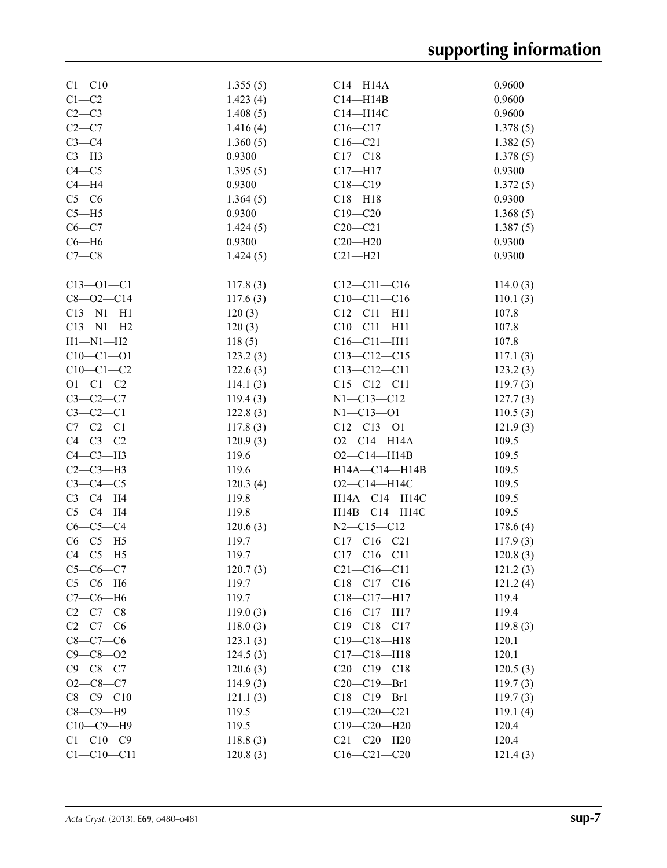| $C1 - C10$       | 1.355(5) | $C14 - H14A$      | 0.9600   |
|------------------|----------|-------------------|----------|
| $C1 - C2$        | 1.423(4) | $C14 - H14B$      | 0.9600   |
| $C2-C3$          | 1.408(5) | C14-H14C          | 0.9600   |
| $C2-C7$          | 1.416(4) | $C16 - C17$       | 1.378(5) |
| $C3-C4$          | 1.360(5) | $C16 - C21$       | 1.382(5) |
| $C3-H3$          | 0.9300   | $C17 - C18$       | 1.378(5) |
| $C4 - C5$        | 1.395(5) | $C17 - H17$       | 0.9300   |
| $C4 - H4$        | 0.9300   | $C18 - C19$       | 1.372(5) |
| $C5-C6$          | 1.364(5) | $C18 - H18$       | 0.9300   |
| $C5 - H5$        | 0.9300   | $C19 - C20$       | 1.368(5) |
| $C6 - C7$        | 1.424(5) | $C20-C21$         | 1.387(5) |
|                  |          | $C20 - H20$       |          |
| $C6 - H6$        | 0.9300   |                   | 0.9300   |
| $C7-C8$          | 1.424(5) | $C21 - H21$       | 0.9300   |
| $C13 - 01 - C1$  | 117.8(3) | $C12-C11-C16$     | 114.0(3) |
| $C8 - O2 - C14$  | 117.6(3) | $C10-C11-C16$     | 110.1(3) |
| $C13 - N1 - H1$  | 120(3)   | $C12 - C11 - H11$ | 107.8    |
| $C13-M1-H2$      | 120(3)   | $C10-C11-H11$     | 107.8    |
| $H1 - N1 - H2$   | 118(5)   | $C16 - C11 - H11$ | 107.8    |
| $C10-C1-01$      | 123.2(3) | $C13 - C12 - C15$ | 117.1(3) |
| $C10-C1-C2$      | 122.6(3) | $C13 - C12 - C11$ | 123.2(3) |
| $O1 - C1 - C2$   | 114.1(3) | $C15 - C12 - C11$ | 119.7(3) |
| $C3-C2-C7$       | 119.4(3) | $N1 - C13 - C12$  | 127.7(3) |
| $C3-C2-C1$       | 122.8(3) | $N1 - C13 - O1$   | 110.5(3) |
| $C7-C2-C1$       |          | $C12 - C13 - O1$  |          |
|                  | 117.8(3) |                   | 121.9(3) |
| $C4-C3-C2$       | 120.9(3) | $O2 - C14 - H14A$ | 109.5    |
| $C4-C3-H3$       | 119.6    | $O2 - C14 - H14B$ | 109.5    |
| $C2-C3-H3$       | 119.6    | H14A-C14-H14B     | 109.5    |
| $C3-C4-C5$       | 120.3(4) | O2-C14-H14C       | 109.5    |
| $C3-C4-H4$       | 119.8    | H14A-C14-H14C     | 109.5    |
| $C5-C4-H4$       | 119.8    | H14B-C14-H14C     | 109.5    |
| $C6-C5-C4$       | 120.6(3) | $N2 - C15 - C12$  | 178.6(4) |
| $C6-C5-H5$       | 119.7    | $C17 - C16 - C21$ | 117.9(3) |
| $C4-C5-H5$       | 119.7    | $C17 - C16 - C11$ | 120.8(3) |
| $C5-C6-C7$       | 120.7(3) | $C21 - C16 - C11$ | 121.2(3) |
| $C5-C6-H6$       | 119.7    | $C18 - C17 - C16$ | 121.2(4) |
| $C7-C6-H6$       | 119.7    | $C18 - C17 - H17$ | 119.4    |
| $C2-C7-C8$       | 119.0(3) | $C16 - C17 - H17$ | 119.4    |
| $C2-C7-C6$       | 118.0(3) | $C19 - C18 - C17$ | 119.8(3) |
| $C8 - C7 - C6$   | 123.1(3) | $C19 - C18 - H18$ | 120.1    |
| $C9 - C8 - O2$   | 124.5(3) | $C17 - C18 - H18$ | 120.1    |
| $C9 - C8 - C7$   | 120.6(3) | $C20-C19-C18$     | 120.5(3) |
| $O2-C8-C7$       | 114.9(3) | $C20 - C19 - Br1$ | 119.7(3) |
| $C8 - C9 - C10$  | 121.1(3) | $C18-C19-Br1$     | 119.7(3) |
| $C8-C9-H9$       | 119.5    | $C19 - C20 - C21$ | 119.1(4) |
| $C10-C9-H9$      | 119.5    | $C19 - C20 - H20$ | 120.4    |
| $C1 - C10 - C9$  | 118.8(3) | $C21 - C20 - H20$ | 120.4    |
| $C1 - C10 - C11$ | 120.8(3) | $C16 - C21 - C20$ | 121.4(3) |
|                  |          |                   |          |